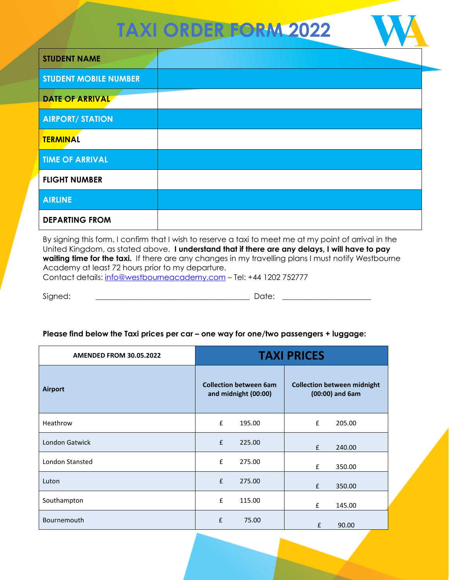## **TAXI ORDER FORM 2022**

| <b>STUDENT NAME</b>          |  |
|------------------------------|--|
| <b>STUDENT MOBILE NUMBER</b> |  |
| <b>DATE OF ARRIVAL</b>       |  |
| <b>AIRPORT/ STATION</b>      |  |
| <b>TERMINAL</b>              |  |
| <b>TIME OF ARRIVAL</b>       |  |
| <b>FLIGHT NUMBER</b>         |  |
| <b>AIRLINE</b>               |  |
| <b>DEPARTING FROM</b>        |  |

By signing this form, I confirm that I wish to reserve a taxi to meet me at my point of arrival in the United Kingdom, as stated above. **I understand that if there are any delays, I will have to pay**  waiting time for the taxi. If there are any changes in my travelling plans I must notify Westbourne Academy at least 72 hours prior to my departure.

Contact details: [info@westbourneacademy.com](mailto:info@westbourneacademy.com) - Tel: +44 1202 752777

Signed: \_\_\_\_\_\_\_\_\_\_\_\_\_\_\_\_\_\_\_\_\_\_\_\_\_\_\_\_\_\_\_\_\_\_\_\_\_\_\_\_ Date: \_\_\_\_\_\_\_\_\_\_\_\_\_\_\_\_\_\_\_\_\_\_\_

## **Please find below the Taxi prices per car – one way for one/two passengers + luggage:**

| <b>AMENDED FROM 30.05.2022</b> | <b>TAXI PRICES</b>                                    |                                                           |  |
|--------------------------------|-------------------------------------------------------|-----------------------------------------------------------|--|
| <b>Airport</b>                 | <b>Collection between 6am</b><br>and midnight (00:00) | <b>Collection between midnight</b><br>$(00:00)$ and $6am$ |  |
| Heathrow                       | £<br>195.00                                           | £<br>205.00                                               |  |
| <b>London Gatwick</b>          | £<br>225.00                                           | f<br>240.00                                               |  |
| <b>London Stansted</b>         | £<br>275.00                                           | £<br>350.00                                               |  |
| Luton                          | £<br>275.00                                           | £<br>350.00                                               |  |
| Southampton                    | £<br>115.00                                           | £<br>145.00                                               |  |
| Bournemouth                    | £<br>75.00                                            | £<br>90.00                                                |  |